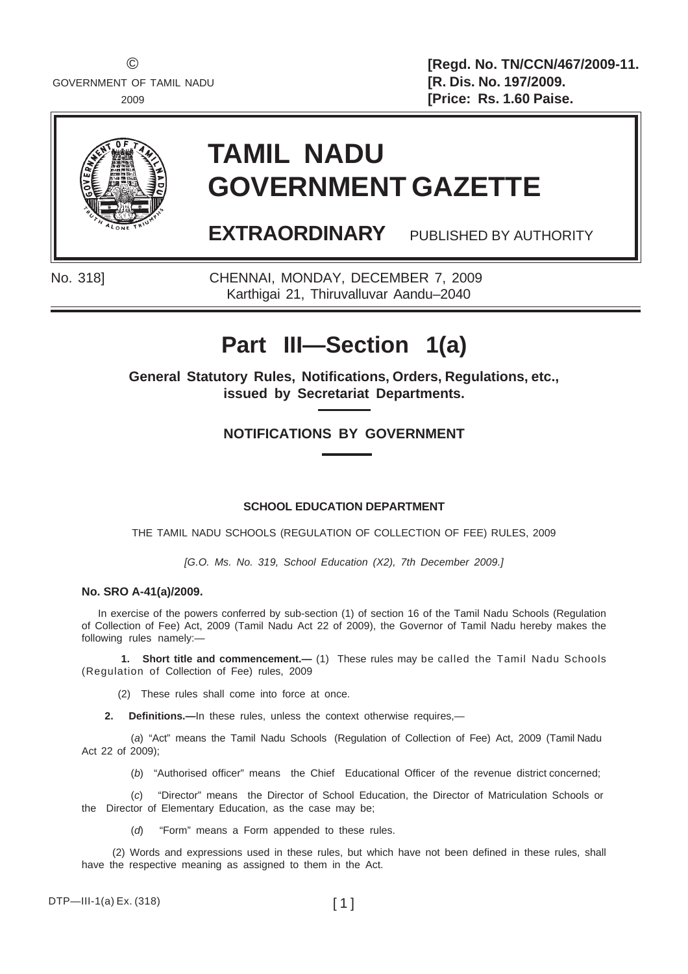© **[Regd. No. TN/CCN/467/2009-11.** 2009 **[Price: Rs. 1.60 Paise.**



# **TAMIL NADU GOVERNMENT GAZETTE**

**EXTRAORDINARY** PUBLISHED BY AUTHORITY

No. 318] CHENNAI, MONDAY, DECEMBER 7, 2009 Karthigai 21, Thiruvalluvar Aandu–2040

# **Part III—Section 1(a)**

**General Statutory Rules, Notifications, Orders, Regulations, etc., issued by Secretariat Departments.**

## **NOTIFICATIONS BY GOVERNMENT**

#### **SCHOOL EDUCATION DEPARTMENT**

THE TAMIL NADU SCHOOLS (REGULATION OF COLLECTION OF FEE) RULES, 2009

*[G.O. Ms. No. 319, School Education (X2), 7th December 2009.]*

#### **No. SRO A-41(a)/2009.**

In exercise of the powers conferred by sub-section (1) of section 16 of the Tamil Nadu Schools (Regulation of Collection of Fee) Act, 2009 (Tamil Nadu Act 22 of 2009), the Governor of Tamil Nadu hereby makes the following rules namely:—

**1. Short title and commencement.—** (1) These rules may be called the Tamil Nadu Schools (Regulation of Collection of Fee) rules, 2009

(2) These rules shall come into force at once.

**2. Definitions.—**In these rules, unless the context otherwise requires,—

(*a*) "Act" means the Tamil Nadu Schools (Regulation of Collection of Fee) Act, 2009 (Tamil Nadu Act 22 of 2009);

(*b*) "Authorised officer" means the Chief Educational Officer of the revenue district concerned;

(*c*) "Director" means the Director of School Education, the Director of Matriculation Schools or the Director of Elementary Education, as the case may be;

(*d*) "Form" means a Form appended to these rules.

 (2) Words and expressions used in these rules, but which have not been defined in these rules, shall have the respective meaning as assigned to them in the Act.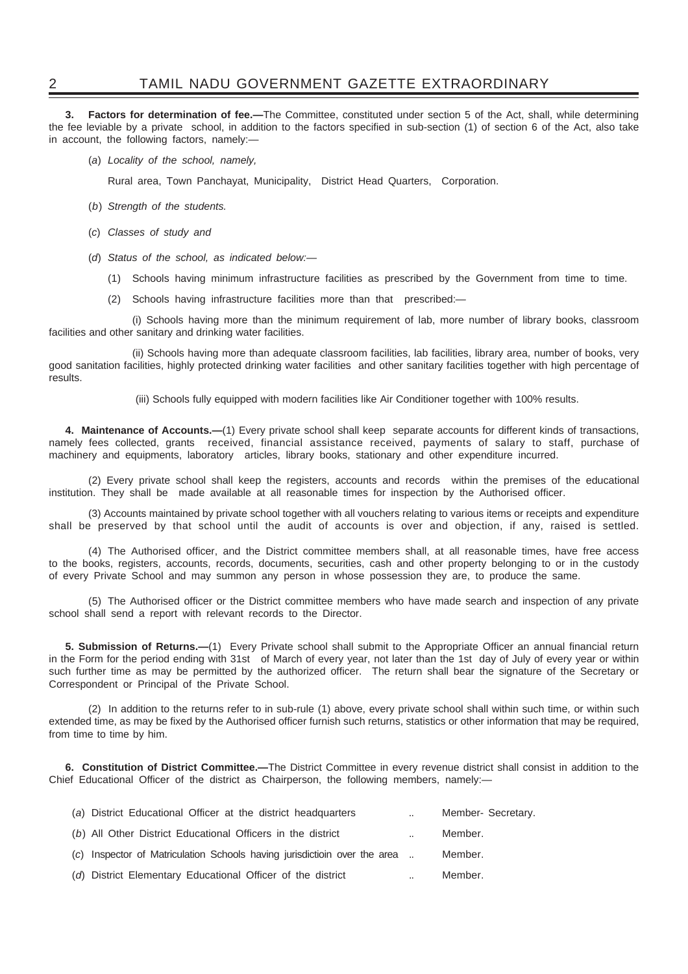### 2 TAMIL NADU GOVERNMENT GAZETTE EXTRAORDINARY

**3. Factors for determination of fee.—**The Committee, constituted under section 5 of the Act, shall, while determining the fee leviable by a private school, in addition to the factors specified in sub-section (1) of section 6 of the Act, also take in account, the following factors, namely:—

(*a*) *Locality of the school, namely,*

Rural area, Town Panchayat, Municipality, District Head Quarters, Corporation.

- (*b*) *Strength of the students.*
- (*c*) *Classes of study and*
- (*d*) *Status of the school, as indicated below:—*
	- (1) Schools having minimum infrastructure facilities as prescribed by the Government from time to time.
	- (2) Schools having infrastructure facilities more than that prescribed:*—*

(i) Schools having more than the minimum requirement of lab, more number of library books, classroom facilities and other sanitary and drinking water facilities.

(ii) Schools having more than adequate classroom facilities, lab facilities, library area, number of books, very good sanitation facilities, highly protected drinking water facilities and other sanitary facilities together with high percentage of results.

(iii) Schools fully equipped with modern facilities like Air Conditioner together with 100% results.

**4. Maintenance of Accounts.—**(1) Every private school shall keep separate accounts for different kinds of transactions, namely fees collected, grants received, financial assistance received, payments of salary to staff, purchase of machinery and equipments, laboratory articles, library books, stationary and other expenditure incurred.

(2) Every private school shall keep the registers, accounts and records within the premises of the educational institution. They shall be made available at all reasonable times for inspection by the Authorised officer.

(3) Accounts maintained by private school together with all vouchers relating to various items or receipts and expenditure shall be preserved by that school until the audit of accounts is over and objection, if any, raised is settled.

(4) The Authorised officer, and the District committee members shall, at all reasonable times, have free access to the books, registers, accounts, records, documents, securities, cash and other property belonging to or in the custody of every Private School and may summon any person in whose possession they are, to produce the same.

(5) The Authorised officer or the District committee members who have made search and inspection of any private school shall send a report with relevant records to the Director.

**5. Submission of Returns.—**(1) Every Private school shall submit to the Appropriate Officer an annual financial return in the Form for the period ending with 31st of March of every year, not later than the 1st day of July of every year or within such further time as may be permitted by the authorized officer. The return shall bear the signature of the Secretary or Correspondent or Principal of the Private School.

(2) In addition to the returns refer to in sub-rule (1) above, every private school shall within such time, or within such extended time, as may be fixed by the Authorised officer furnish such returns, statistics or other information that may be required, from time to time by him.

**6. Constitution of District Committee.—**The District Committee in every revenue district shall consist in addition to the Chief Educational Officer of the district as Chairperson, the following members, namely:—

| (a) District Educational Officer at the district headquarters             | $\sim$ | Member- Secretary. |
|---------------------------------------------------------------------------|--------|--------------------|
| (b) All Other District Educational Officers in the district               |        | Member.            |
| (c) Inspector of Matriculation Schools having jurisdictioin over the area |        | Member.            |
| (d) District Elementary Educational Officer of the district               |        | Member.            |